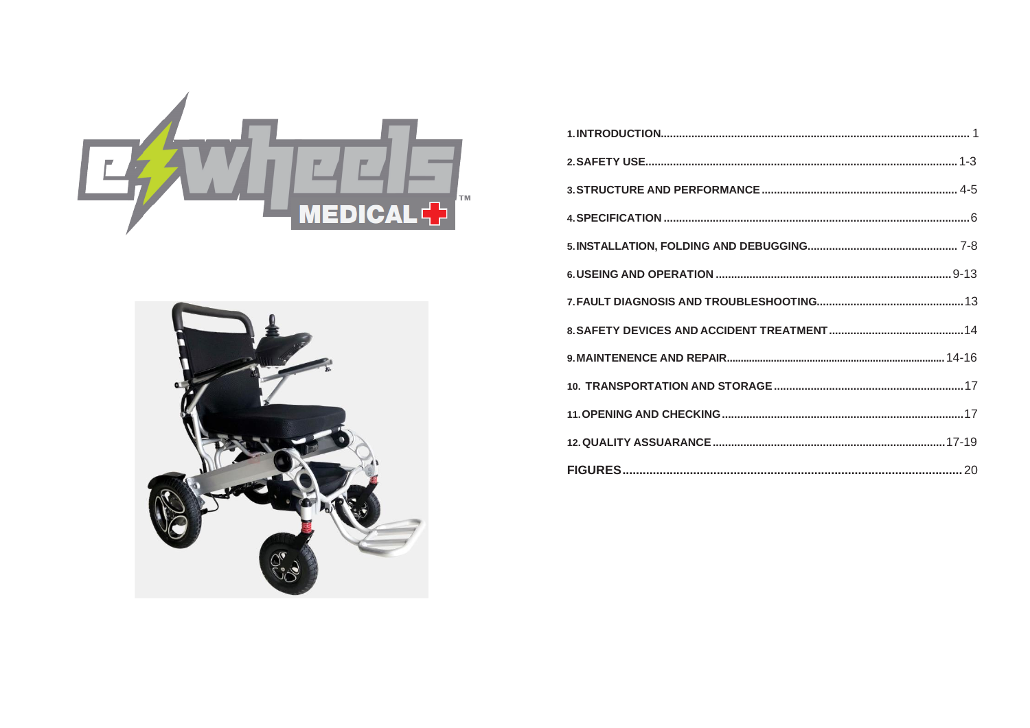

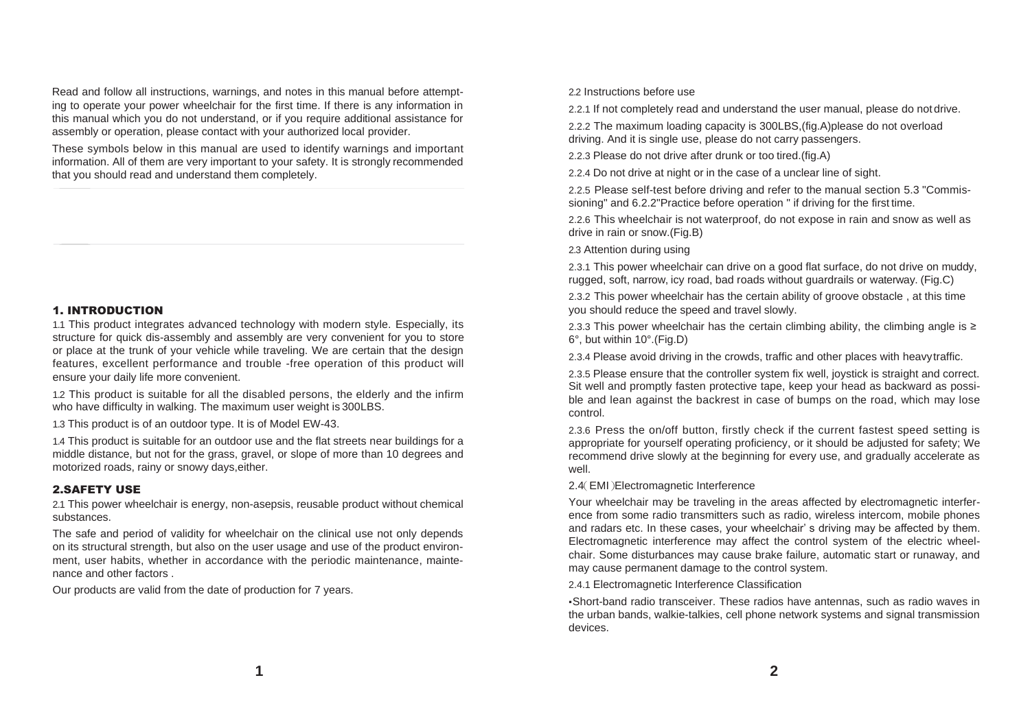Read and follow all instructions, warnings, and notes in this manual before attempting to operate your power wheelchair for the first time. If there is any information in this manual which you do not understand, or if you require additional assistance for assembly or operation, please contact with your authorized local provider.

These symbols below in this manual are used to identify warnings and important information. All of them are very important to your safety. It is strongly recommended that you should read and understand them completely.

# 1. INTRODUCTION

1.1 This product integrates advanced technology with modern style. Especially, its structure for quick dis-assembly and assembly are very convenient for you to store or place at the trunk of your vehicle while traveling. We are certain that the design features, excellent performance and trouble -free operation of this product will ensure your daily life more convenient.

1.2 This product is suitable for all the disabled persons, the elderly and the infirm who have difficulty in walking. The maximum user weight is 300LBS.

1.3 This product is of an outdoor type. It is of Model EW-43.

1.4 This product is suitable for an outdoor use and the flat streets near buildings for a middle distance, but not for the grass, gravel, or slope of more than 10 degrees and motorized roads, rainy or snowy days,either.

# 2.SAFETY USE

2.1 This power wheelchair is energy, non-asepsis, reusable product without chemical substances.

The safe and period of validity for wheelchair on the clinical use not only depends on its structural strength, but also on the user usage and use of the product environment, user habits, whether in accordance with the periodic maintenance, maintenance and other factors .

Our products are valid from the date of production for 7 years.

2.2 Instructions before use

2.2.1 If not completely read and understand the user manual, please do not drive.

2.2.2 The maximum loading capacity is 300LBS,(fig.A)please do not overload driving. And it is single use, please do not carry passengers.

2.2.3 Please do not drive after drunk or too tired.(fig.A)

2.2.4 Do not drive at night or in the case of a unclear line of sight.

2.2.5 Please self-test before driving and refer to the manual section 5.3 "Commissioning" and 6.2.2"Practice before operation " if driving for the first time.

2.2.6 This wheelchair is not waterproof, do not expose in rain and snow as well as drive in rain or snow.(Fig.B)

2.3 Attention during using

2.3.1 This power wheelchair can drive on a good flat surface, do not drive on muddy, rugged, soft, narrow, icy road, bad roads without guardrails or waterway. (Fig.C)

2.3.2 This power wheelchair has the certain ability of groove obstacle , at this time you should reduce the speed and travel slowly.

2.3.3 This power wheelchair has the certain climbing ability, the climbing angle is  $\ge$ 6°, but within 10°.(Fig.D)

2.3.4 Please avoid driving in the crowds, traffic and other places with heavytraffic.

2.3.5 Please ensure that the controller system fix well, joystick is straight and correct. Sit well and promptly fasten protective tape, keep your head as backward as possible and lean against the backrest in case of bumps on the road, which may lose control.

2.3.6 Press the on/off button, firstly check if the current fastest speed setting is appropriate for yourself operating proficiency, or it should be adjusted for safety; We recommend drive slowly at the beginning for every use, and gradually accelerate as well.

2.4(EMI)Electromagnetic Interference

Your wheelchair may be traveling in the areas affected by electromagnetic interference from some radio transmitters such as radio, wireless intercom, mobile phones and radars etc. In these cases, your wheelchair' s driving may be affected by them. Electromagnetic interference may affect the control system of the electric wheelchair. Some disturbances may cause brake failure, automatic start or runaway, and may cause permanent damage to the control system.

2.4.1 Electromagnetic Interference Classification

▪Short-band radio transceiver. These radios have antennas, such as radio waves in the urban bands, walkie-talkies, cell phone network systems and signal transmission devices.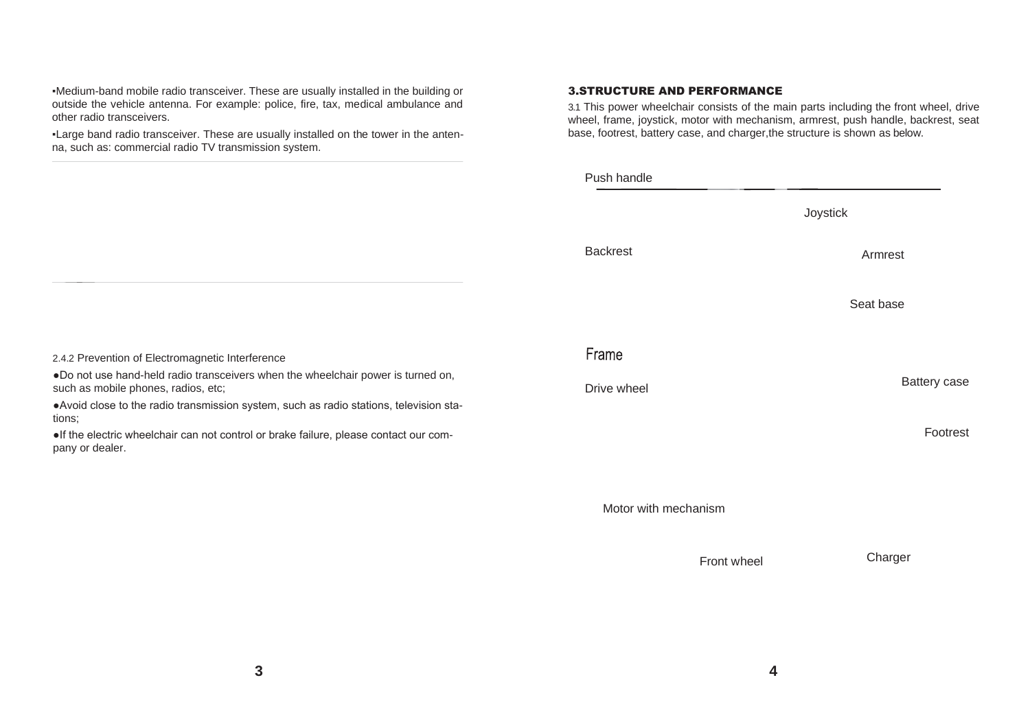▪Medium-band mobile radio transceiver. These are usually installed in the building or outside the vehicle antenna. For example: police, fire, tax, medical ambulance and other radio transceivers.

▪Large band radio transceiver. These are usually installed on the tower in the antenna, such as: commercial radio TV transmission system.

# 3.STRUCTURE AND PERFORMANCE

3.1 This power wheelchair consists of the main parts including the front wheel, drive wheel, frame, joystick, motor with mechanism, armrest, push handle, backrest, seat base, footrest, battery case, and charger,the structure is shown as below.

|                      | Joystick     |
|----------------------|--------------|
| <b>Backrest</b>      | Armrest      |
|                      | Seat base    |
| Frame                |              |
| Drive wheel          | Battery case |
|                      | Footrest     |
|                      |              |
| Motor with mechanism |              |

Front wheel Charger

2.4.2 Prevention of Electromagnetic Interference

●Do not use hand-held radio transceivers when the wheelchair power is turned on, such as mobile phones, radios, etc;

●Avoid close to the radio transmission system, such as radio stations, television stations;

●If the electric wheelchair can not control or brake failure, please contact our company or dealer.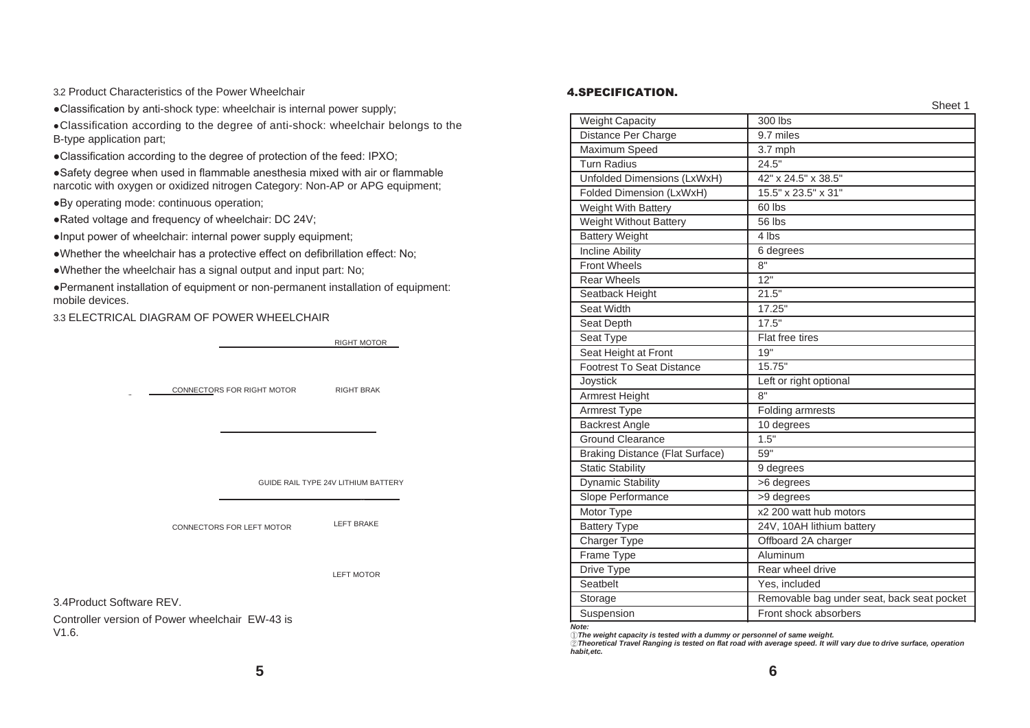3.2 Product Characteristics of the Power Wheelchair

●Classification by anti-shock type: wheelchair is internal power supply;

●Classification according to the degree of anti-shock: wheelchair belongs to the B-type application part;

●Classification according to the degree of protection of the feed: IPXO;

●Safety degree when used in flammable anesthesia mixed with air or flammable narcotic with oxygen or oxidized nitrogen Category: Non-AP or APG equipment;

●By operating mode: continuous operation;

●Rated voltage and frequency of wheelchair: DC 24V;

●Input power of wheelchair: internal power supply equipment;

●Whether the wheelchair has a protective effect on defibrillation effect: No;

●Whether the wheelchair has a signal output and input part: No;

●Permanent installation of equipment or non-permanent installation of equipment: mobile devices.

3.3 ELECTRICAL DIAGRAM OF POWER WHEELCHAIR

RIGHT MOTOR

CONNECTORS FOR RIGHT MOTOR RIGHT BRAKE

GUIDE RAIL TYPE 24V LITHIUM BATTERY

CONNECTORS FOR LEFT MOTOR

LEFT MOTOR

LEFT BRAKE

3.4Product Software REV.

Controller version of Power wheelchair EW-43 is V1.6.

#### 4.SPECIFICATION.

| <b>Weight Capacity</b>                 | 300 lbs                                    |
|----------------------------------------|--------------------------------------------|
| Distance Per Charge                    | 9.7 miles                                  |
| Maximum Speed                          | 3.7 mph                                    |
| Turn Radius                            | 24.5"                                      |
| Unfolded Dimensions (LxWxH)            | 42" x 24.5" x 38.5"                        |
| Folded Dimension (LxWxH)               | 15.5" x 23.5" x 31"                        |
| Weight With Battery                    | 60 lbs                                     |
| Weight Without Battery                 | 56 lbs                                     |
| <b>Battery Weight</b>                  | 4 lbs                                      |
| <b>Incline Ability</b>                 | 6 degrees                                  |
| <b>Front Wheels</b>                    | 8"                                         |
| <b>Rear Wheels</b>                     | 12"                                        |
| Seatback Height                        | 21.5"                                      |
| Seat Width                             | 17.25"                                     |
| Seat Depth                             | 17.5"                                      |
| Seat Type                              | Flat free tires                            |
| Seat Height at Front                   | 19"                                        |
| <b>Footrest To Seat Distance</b>       | 15.75"                                     |
| Joystick                               | Left or right optional                     |
| Armrest Height                         | 8"                                         |
| Armrest Type                           | Folding armrests                           |
| <b>Backrest Angle</b>                  | 10 degrees                                 |
| Ground Clearance                       | 1.5"                                       |
| <b>Braking Distance (Flat Surface)</b> | 59"                                        |
| <b>Static Stability</b>                | 9 degrees                                  |
| <b>Dynamic Stability</b>               | >6 degrees                                 |
| Slope Performance                      | >9 degrees                                 |
| Motor Type                             | x2 200 watt hub motors                     |
| <b>Battery Type</b>                    | 24V, 10AH lithium battery                  |
| Charger Type                           | Offboard 2A charger                        |
| Frame Type                             | Aluminum                                   |
| Drive Type                             | Rear wheel drive                           |
| Seatbelt                               | Yes, included                              |
| Storage                                | Removable bag under seat, back seat pocket |
| Suspension                             | Front shock absorbers                      |

*Note:*

①*The weight capacity is tested with a dummy or personnel of same weight.*

②*Theoretical Travel Ranging is tested on flat road with average speed. It will vary due to drive surface, operation habit,etc.*

Sheet 1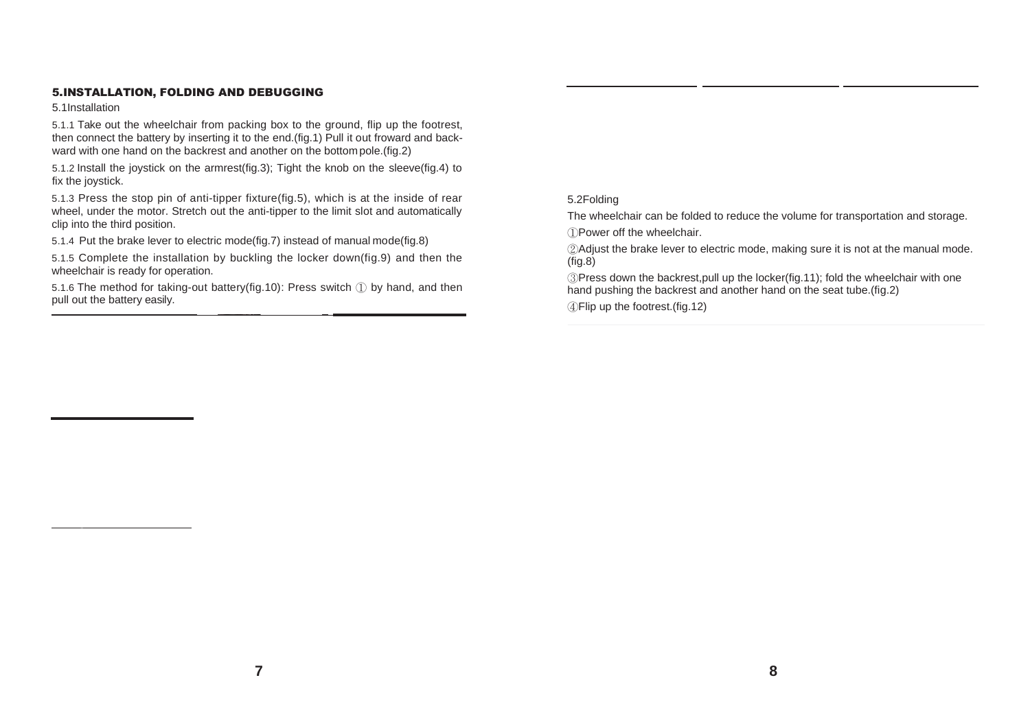# 5.INSTALLATION, FOLDING AND DEBUGGING

5.1Installation

5.1.1 Take out the wheelchair from packing box to the ground, flip up the footrest, then connect the battery by inserting it to the end.(fig.1) Pull it out froward and backward with one hand on the backrest and another on the bottom pole.(fig.2)

5.1.2 Install the joystick on the armrest(fig.3); Tight the knob on the sleeve(fig.4) to fix the joystick.

5.1.3 Press the stop pin of anti-tipper fixture(fig.5), which is at the inside of rear wheel, under the motor. Stretch out the anti-tipper to the limit slot and automatically clip into the third position.

5.1.4 Put the brake lever to electric mode(fig.7) instead of manual mode(fig.8)

5.1.5 Complete the installation by buckling the locker down(fig.9) and then the wheelchair is ready for operation.

5.1.6 The method for taking-out battery(fig.10): Press switch ① by hand, and then pull out the battery easily.

# 5.2Folding

The wheelchair can be folded to reduce the volume for transportation and storage. ①Power off the wheelchair.

②Adjust the brake lever to electric mode, making sure it is not at the manual mode. (fig.8)

③Press down the backrest,pull up the locker(fig.11); fold the wheelchair with one hand pushing the backrest and another hand on the seat tube.(fig.2)

④Flip up the footrest.(fig.12)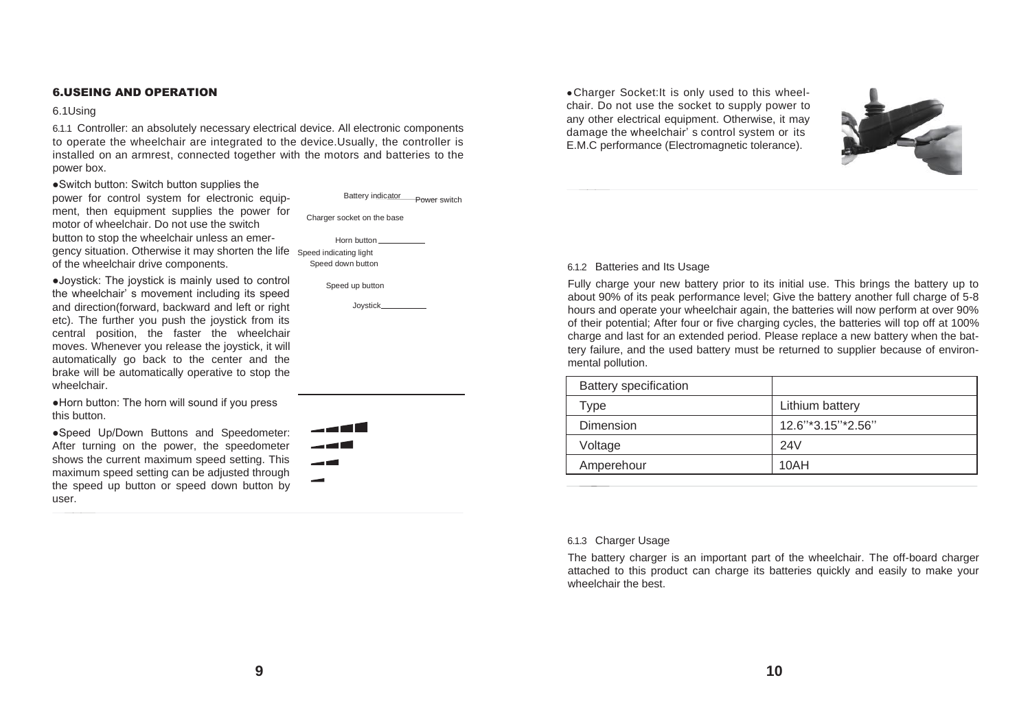# 6.USEING AND OPERATION

#### 6.1Using

6.1.1 Controller: an absolutely necessary electrical device. All electronic components to operate the wheelchair are integrated to the device.Usually, the controller is installed on an armrest, connected together with the motors and batteries to the power box.

●Switch button: Switch button supplies the

power for control system for electronic equipment, then equipment supplies the power for motor of wheelchair. Do not use the switch button to stop the wheelchair unless an emergency situation. Otherwise it may shorten the life Speed indicating light of the wheelchair drive components.

●Joystick: The joystick is mainly used to control the wheelchair' s movement including its speed and direction(forward, backward and left or right etc). The further you push the joystick from its central position, the faster the wheelchair moves. Whenever you release the joystick, it will automatically go back to the center and the brake will be automatically operative to stop the wheelchair.

●Horn button: The horn will sound if you press this button.

●Speed Up/Down Buttons and Speedometer: After turning on the power, the speedometer shows the current maximum speed setting. This maximum speed setting can be adjusted through the speed up button or speed down button by user.

Charger socket on the base Power switch Horn button

Battery indicator

Speed down button



**ا ک ہے** ۔ ک ہے  $\sim$ 

• Charger Socket: It is only used to this wheelchair. Do not use the socket to supply power to any other electrical equipment. Otherwise, it may damage the wheelchair' s control system or its E.M.C performance (Electromagnetic tolerance).



#### 6.1.2 Batteries and Its Usage

Fully charge your new battery prior to its initial use. This brings the battery up to about 90% of its peak performance level; Give the battery another full charge of 5-8 hours and operate your wheelchair again, the batteries will now perform at over 90% of their potential; After four or five charging cycles, the batteries will top off at 100% charge and last for an extended period. Please replace a new battery when the battery failure, and the used battery must be returned to supplier because of environmental pollution.

| <b>Battery specification</b> |                   |
|------------------------------|-------------------|
| ⊺ype                         | Lithium battery   |
| Dimension                    | 12.6"*3.15"*2.56" |
| Voltage                      | 24V               |
| Amperehour                   | 10AH              |
|                              |                   |

#### 6.1.3 Charger Usage

The battery charger is an important part of the wheelchair. The off-board charger attached to this product can charge its batteries quickly and easily to make your wheelchair the best.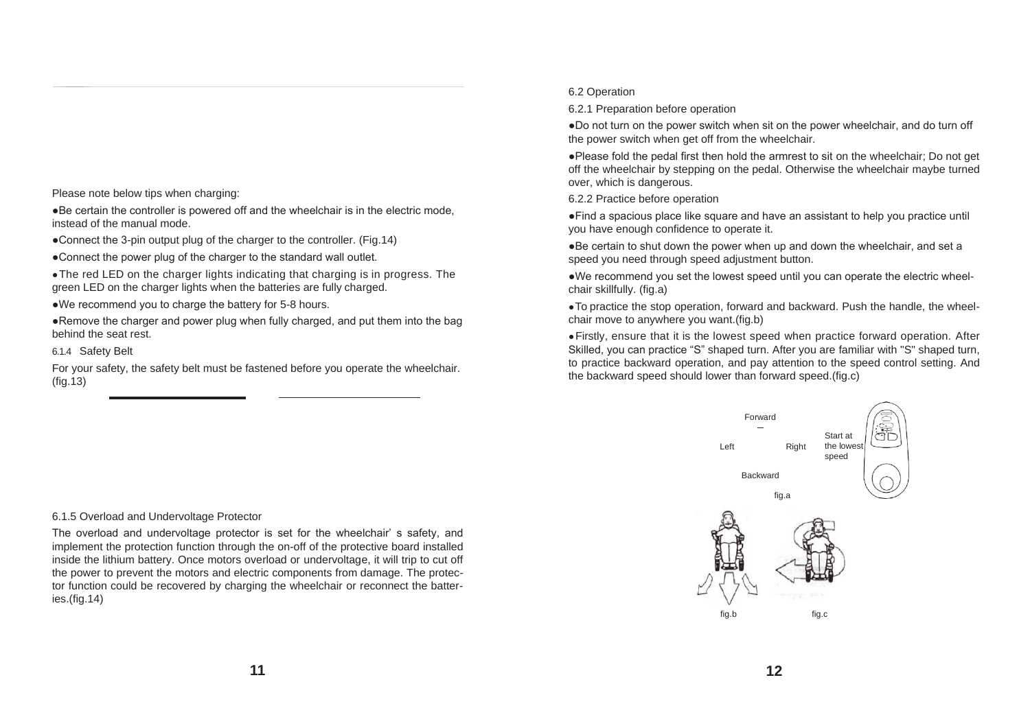Please note below tips when charging:

●Be certain the controller is powered off and the wheelchair is in the electric mode, instead of the manual mode.

• Connect the 3-pin output plug of the charger to the controller. (Fig.14)

●Connect the power plug of the charger to the standard wall outlet.

●The red LED on the charger lights indicating that charging is in progress. The green LED on the charger lights when the batteries are fully charged.

●We recommend you to charge the battery for 5-8 hours.

●Remove the charger and power plug when fully charged, and put them into the bag behind the seat rest.

6.1.4 Safety Belt

For your safety, the safety belt must be fastened before you operate the wheelchair. (fig.13)

#### 6.2 Operation

6.2.1 Preparation before operation

●Do not turn on the power switch when sit on the power wheelchair, and do turn off the power switch when get off from the wheelchair.

●Please fold the pedal first then hold the armrest to sit on the wheelchair; Do not get off the wheelchair by stepping on the pedal. Otherwise the wheelchair maybe turned over, which is dangerous.

6.2.2 Practice before operation

●Find a spacious place like square and have an assistant to help you practice until you have enough confidence to operate it.

●Be certain to shut down the power when up and down the wheelchair, and set a speed you need through speed adjustment button.

●We recommend you set the lowest speed until you can operate the electric wheelchair skillfully. (fig.a)

●To practice the stop operation, forward and backward. Push the handle, the wheelchair move to anywhere you want.(fig.b)

●Firstly, ensure that it is the lowest speed when practice forward operation. After Skilled, you can practice "S" shaped turn. After you are familiar with "S" shaped turn, to practice backward operation, and pay attention to the speed control setting. And the backward speed should lower than forward speed.(fig.c)



#### 6.1.5 Overload and Undervoltage Protector

The overload and undervoltage protector is set for the wheelchair' s safety, and implement the protection function through the on-off of the protective board installed inside the lithium battery. Once motors overload or undervoltage, it will trip to cut off the power to prevent the motors and electric components from damage. The protector function could be recovered by charging the wheelchair or reconnect the batteries.(fig.14)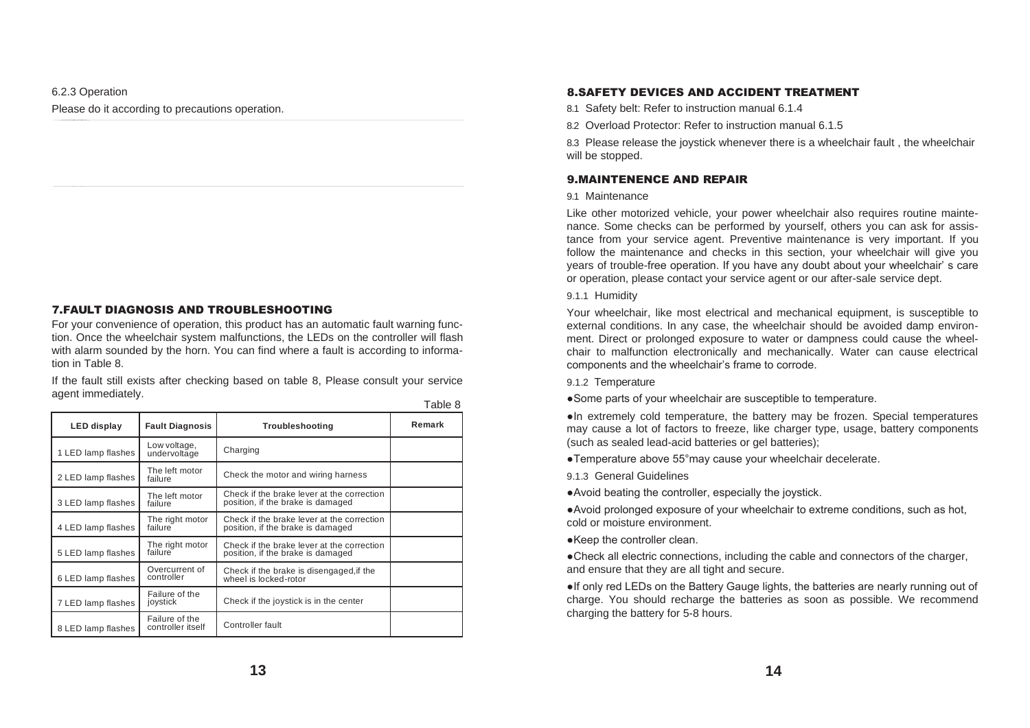# 6.2.3 Operation Please do it according to precautions operation.

# 7.FAULT DIAGNOSIS AND TROUBLESHOOTING

For your convenience of operation, this product has an automatic fault warning function. Once the wheelchair system malfunctions, the LEDs on the controller will flash with alarm sounded by the horn. You can find where a fault is according to information in Table 8.

If the fault still exists after checking based on table 8, Please consult your service agent immediately. Table 8

| LED display        | <b>Fault Diagnosis</b>              | Troubleshooting                                                                 | Remark |
|--------------------|-------------------------------------|---------------------------------------------------------------------------------|--------|
| 1 LED lamp flashes | Low voltage,<br>undervoltage        | Charging                                                                        |        |
| 2 LED lamp flashes | The left motor<br>failure           | Check the motor and wiring harness                                              |        |
| 3 LED lamp flashes | The left motor<br>failure           | Check if the brake lever at the correction<br>position, if the brake is damaged |        |
| 4 LED lamp flashes | The right motor<br>failure          | Check if the brake lever at the correction<br>position, if the brake is damaged |        |
| 5 LED lamp flashes | The right motor<br>failure          | Check if the brake lever at the correction<br>position, if the brake is damaged |        |
| 6 LED lamp flashes | Overcurrent of<br>controller        | Check if the brake is disengaged, if the<br>wheel is locked-rotor               |        |
| 7 LED lamp flashes | Failure of the<br>joystick          | Check if the joystick is in the center                                          |        |
| 8 LED lamp flashes | Failure of the<br>controller itself | Controller fault                                                                |        |

#### 8.SAFETY DEVICES AND ACCIDENT TREATMENT

8.1 Safety belt: Refer to instruction manual 6.1.4

8.2 Overload Protector: Refer to instruction manual 6.1.5

8.3 Please release the joystick whenever there is a wheelchair fault , the wheelchair will be stopped.

# 9.MAINTENENCE AND REPAIR

#### 9.1 Maintenance

Like other motorized vehicle, your power wheelchair also requires routine maintenance. Some checks can be performed by yourself, others you can ask for assistance from your service agent. Preventive maintenance is very important. If you follow the maintenance and checks in this section, your wheelchair will give you years of trouble-free operation. If you have any doubt about your wheelchair' s care or operation, please contact your service agent or our after-sale service dept.

#### 9.1.1 Humidity

Your wheelchair, like most electrical and mechanical equipment, is susceptible to external conditions. In any case, the wheelchair should be avoided damp environment. Direct or prolonged exposure to water or dampness could cause the wheelchair to malfunction electronically and mechanically. Water can cause electrical components and the wheelchair's frame to corrode.

#### 9.1.2 Temperature

●Some parts of your wheelchair are susceptible to temperature.

●In extremely cold temperature, the battery may be frozen. Special temperatures may cause a lot of factors to freeze, like charger type, usage, battery components (such as sealed lead-acid batteries or gel batteries);

●Temperature above 55°may cause your wheelchair decelerate.

9.1.3 General Guidelines

●Avoid beating the controller, especially the joystick.

●Avoid prolonged exposure of your wheelchair to extreme conditions, such as hot, cold or moisture environment.

●Keep the controller clean.

●Check all electric connections, including the cable and connectors of the charger, and ensure that they are all tight and secure.

●If only red LEDs on the Battery Gauge lights, the batteries are nearly running out of charge. You should recharge the batteries as soon as possible. We recommend charging the battery for 5-8 hours.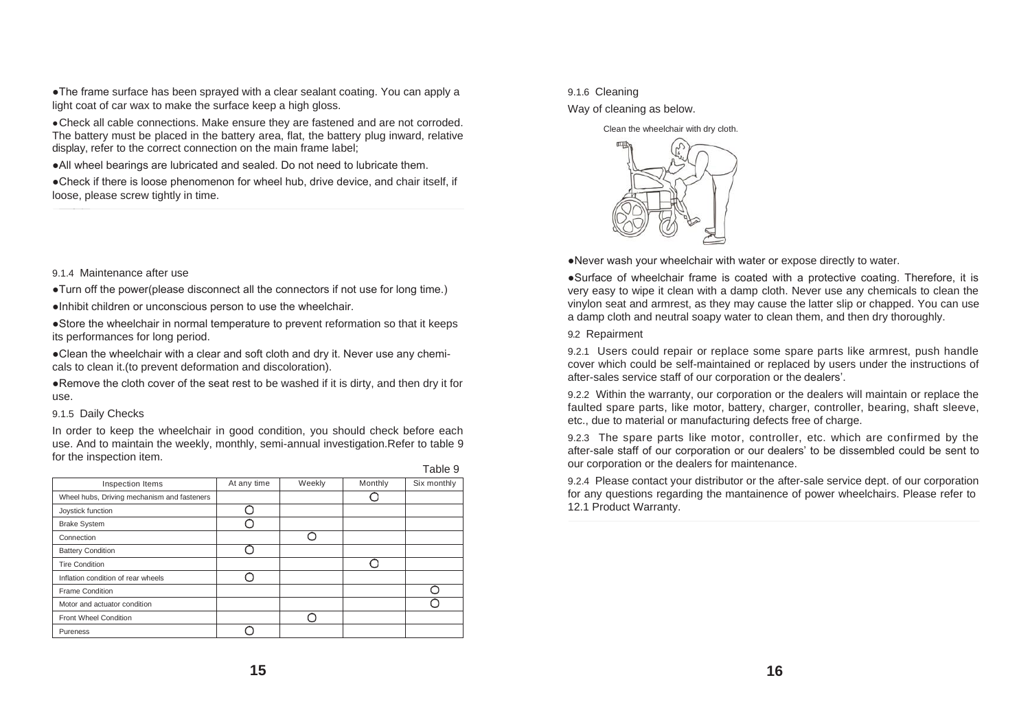●The frame surface has been sprayed with a clear sealant coating. You can apply a light coat of car wax to make the surface keep a high gloss.

●Check all cable connections. Make ensure they are fastened and are not corroded. The battery must be placed in the battery area, flat, the battery plug inward, relative display, refer to the correct connection on the main frame label;

●All wheel bearings are lubricated and sealed. Do not need to lubricate them.

●Check if there is loose phenomenon for wheel hub, drive device, and chair itself, if loose, please screw tightly in time.

9.1.4 Maintenance after use

●Turn off the power(please disconnect all the connectors if not use for long time.)

●Inhibit children or unconscious person to use the wheelchair.

●Store the wheelchair in normal temperature to prevent reformation so that it keeps its performances for long period.

●Clean the wheelchair with a clear and soft cloth and dry it. Never use any chemicals to clean it.(to prevent deformation and discoloration).

●Remove the cloth cover of the seat rest to be washed if it is dirty, and then dry it for use.

#### 9.1.5 Daily Checks

In order to keep the wheelchair in good condition, you should check before each use. And to maintain the weekly, monthly, semi-annual investigation.Refer to table 9 for the inspection item.

|                                             |             |        |         | .           |
|---------------------------------------------|-------------|--------|---------|-------------|
| Inspection Items                            | At any time | Weekly | Monthly | Six monthly |
| Wheel hubs, Driving mechanism and fasteners |             |        |         |             |
| Joystick function                           |             |        |         |             |
| <b>Brake System</b>                         |             |        |         |             |
| Connection                                  |             |        |         |             |
| <b>Battery Condition</b>                    |             |        |         |             |
| <b>Tire Condition</b>                       |             |        |         |             |
| Inflation condition of rear wheels          |             |        |         |             |
| <b>Frame Condition</b>                      |             |        |         |             |
| Motor and actuator condition                |             |        |         |             |
| Front Wheel Condition                       |             |        |         |             |
| Pureness                                    |             |        |         |             |

#### Table 9

#### 9.1.6 Cleaning

Way of cleaning as below.

Clean the wheelchair with dry cloth.



●Never wash your wheelchair with water or expose directly to water.

●Surface of wheelchair frame is coated with a protective coating. Therefore, it is very easy to wipe it clean with a damp cloth. Never use any chemicals to clean the vinylon seat and armrest, as they may cause the latter slip or chapped. You can use a damp cloth and neutral soapy water to clean them, and then dry thoroughly.

9.2 Repairment

9.2.1 Users could repair or replace some spare parts like armrest, push handle cover which could be self-maintained or replaced by users under the instructions of after-sales service staff of our corporation or the dealers'.

9.2.2 Within the warranty, our corporation or the dealers will maintain or replace the faulted spare parts, like motor, battery, charger, controller, bearing, shaft sleeve, etc., due to material or manufacturing defects free of charge.

9.2.3 The spare parts like motor, controller, etc. which are confirmed by the after-sale staff of our corporation or our dealers' to be dissembled could be sent to our corporation or the dealers for maintenance.

9.2.4 Please contact your distributor or the after-sale service dept. of our corporation for any questions regarding the mantainence of power wheelchairs. Please refer to 12.1 Product Warranty.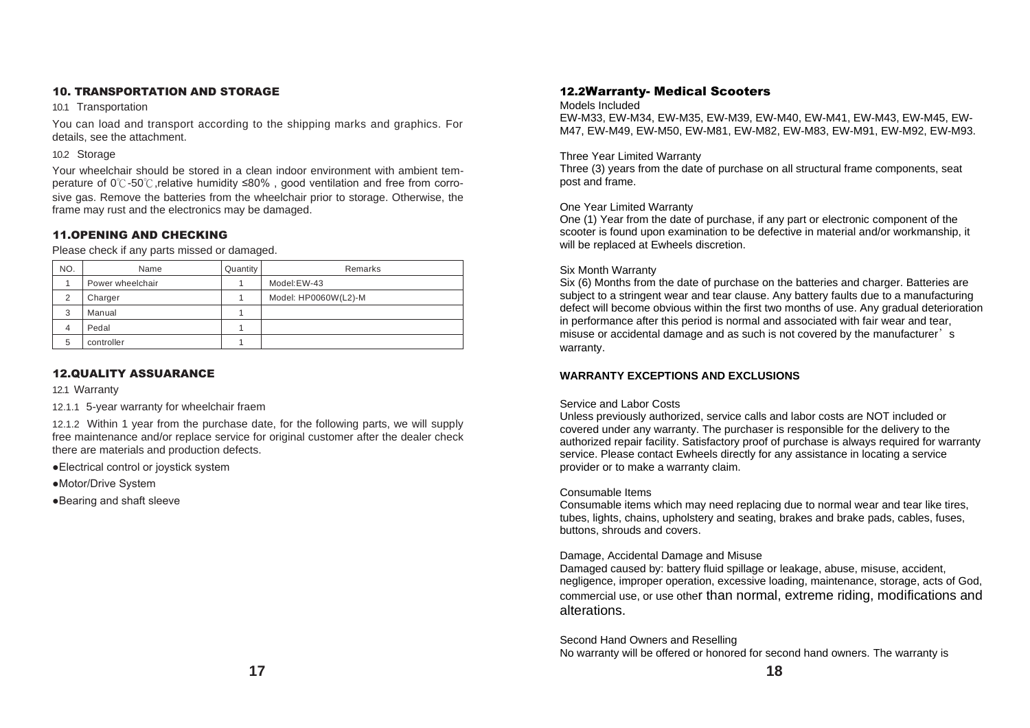# 10. TRANSPORTATION AND STORAGE

10.1 Transportation

You can load and transport according to the shipping marks and graphics. For details, see the attachment.

#### 10.2 Storage

Your wheelchair should be stored in a clean indoor environment with ambient temperature of 0℃-50℃, relative humidity ≤80%, good ventilation and free from corrosive gas. Remove the batteries from the wheelchair prior to storage. Otherwise, the frame may rust and the electronics may be damaged.

# 11.OPENING AND CHECKING

Please check if any parts missed or damaged.

| NO. | Name             | Quantity | Remarks              |
|-----|------------------|----------|----------------------|
|     | Power wheelchair |          | Model:EW-43          |
| 2   | Charger          |          | Model: HP0060W(L2)-M |
| 3   | Manual           |          |                      |
| 4   | Pedal            |          |                      |
| 5   | controller       |          |                      |

# 12.QUALITY ASSUARANCE

12.1 Warranty

12.1.1 5-year warranty for wheelchair fraem

12.1.2 Within 1 year from the purchase date, for the following parts, we will supply free maintenance and/or replace service for original customer after the dealer check there are materials and production defects.

●Electrical control or joystick system

●Motor/Drive System

●Bearing and shaft sleeve

# 12.2Warranty- Medical Scooters

#### Models Included

EW-M33, EW-M34, EW-M35, EW-M39, EW-M40, EW-M41, EW-M43, EW-M45, EW-M47, EW-M49, EW-M50, EW-M81, EW-M82, EW-M83, EW-M91, EW-M92, EW-M93.

#### Three Year Limited Warranty

Three (3) years from the date of purchase on all structural frame components, seat post and frame.

# One Year Limited Warranty

One (1) Year from the date of purchase, if any part or electronic component of the scooter is found upon examination to be defective in material and/or workmanship, it will be replaced at Ewheels discretion.

#### Six Month Warranty

Six (6) Months from the date of purchase on the batteries and charger. Batteries are subject to a stringent wear and tear clause. Any battery faults due to a manufacturing defect will become obvious within the first two months of use. Any gradual deterioration in performance after this period is normal and associated with fair wear and tear, misuse or accidental damage and as such is not covered by the manufacturer's warranty.

# **WARRANTY EXCEPTIONS AND EXCLUSIONS**

#### Service and Labor Costs

Unless previously authorized, service calls and labor costs are NOT included or covered under any warranty. The purchaser is responsible for the delivery to the authorized repair facility. Satisfactory proof of purchase is always required for warranty service. Please contact Ewheels directly for any assistance in locating a service provider or to make a warranty claim.

#### Consumable Items

Consumable items which may need replacing due to normal wear and tear like tires, tubes, lights, chains, upholstery and seating, brakes and brake pads, cables, fuses, buttons, shrouds and covers.

# Damage, Accidental Damage and Misuse

Damaged caused by: battery fluid spillage or leakage, abuse, misuse, accident, negligence, improper operation, excessive loading, maintenance, storage, acts of God, commercial use, or use other than normal, extreme riding, modifications and alterations.

#### Second Hand Owners and Reselling No warranty will be offered or honored for second hand owners. The warranty is

**17 18**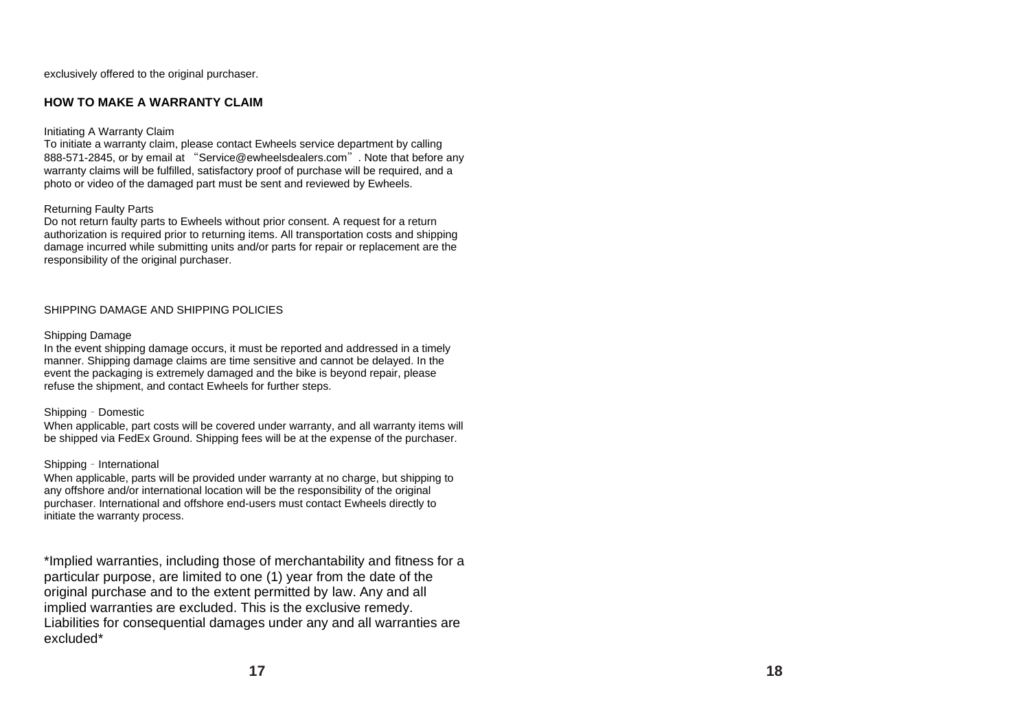exclusively offered to the original purchaser.

# **HOW TO MAKE A WARRANTY CLAIM**

### Initiating A Warranty Claim

To initiate a warranty claim, please contact Ewheels service department by calling 888-571-2845, or by email at "Service@ewheelsdealers.com". Note that before any warranty claims will be fulfilled, satisfactory proof of purchase will be required, and a photo or video of the damaged part must be sent and reviewed by Ewheels.

# Returning Faulty Parts

Do not return faulty parts to Ewheels without prior consent. A request for a return authorization is required prior to returning items. All transportation costs and shipping damage incurred while submitting units and/or parts for repair or replacement are the responsibility of the original purchaser.

# SHIPPING DAMAGE AND SHIPPING POLICIES

#### Shipping Damage

In the event shipping damage occurs, it must be reported and addressed in a timely manner. Shipping damage claims are time sensitive and cannot be delayed. In the event the packaging is extremely damaged and the bike is beyond repair, please refuse the shipment, and contact Ewheels for further steps.

# Shipping – Domestic

When applicable, part costs will be covered under warranty, and all warranty items will be shipped via FedEx Ground. Shipping fees will be at the expense of the purchaser.

# Shipping – International

When applicable, parts will be provided under warranty at no charge, but shipping to any offshore and/or international location will be the responsibility of the original purchaser. International and offshore end-users must contact Ewheels directly to initiate the warranty process.

\*Implied warranties, including those of merchantability and fitness for a particular purpose, are limited to one (1) year from the date of the original purchase and to the extent permitted by law. Any and all implied warranties are excluded. This is the exclusive remedy. Liabilities for consequential damages under any and all warranties are excluded\*